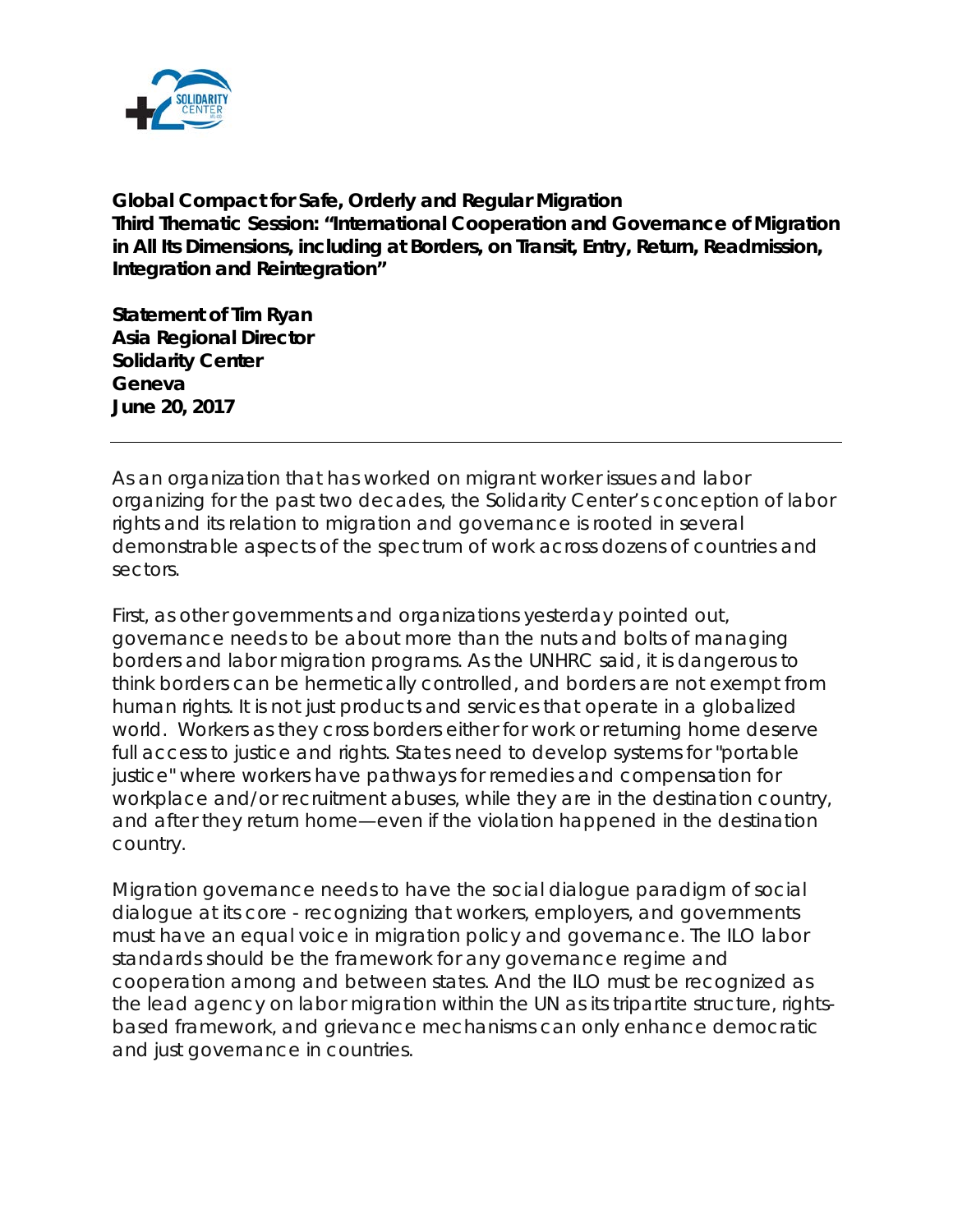

**Global Compact for Safe, Orderly and Regular Migration Third Thematic Session: "International Cooperation and Governance of Migration in All Its Dimensions, including at Borders, on Transit, Entry, Return, Readmission, Integration and Reintegration"**

**Statement of Tim Ryan Asia Regional Director Solidarity Center Geneva June 20, 2017**

As an organization that has worked on migrant worker issues and labor organizing for the past two decades, the Solidarity Center's conception of labor rights and its relation to migration and governance is rooted in several demonstrable aspects of the spectrum of work across dozens of countries and sectors.

First, as other governments and organizations yesterday pointed out, governance needs to be about more than the nuts and bolts of managing borders and labor migration programs. As the UNHRC said, it is dangerous to think borders can be hermetically controlled, and borders are not exempt from human rights. It is not just products and services that operate in a globalized world. Workers as they cross borders either for work or returning home deserve full access to justice and rights. States need to develop systems for "portable justice" where workers have pathways for remedies and compensation for workplace and/or recruitment abuses, while they are in the destination country, and after they return home—even if the violation happened in the destination country.

Migration governance needs to have the social dialogue paradigm of social dialogue at its core - recognizing that workers, employers, and governments must have an equal voice in migration policy and governance. The ILO labor standards should be the framework for any governance regime and cooperation among and between states. And the ILO must be recognized as the lead agency on labor migration within the UN as its tripartite structure, rightsbased framework, and grievance mechanisms can only enhance democratic and just governance in countries.